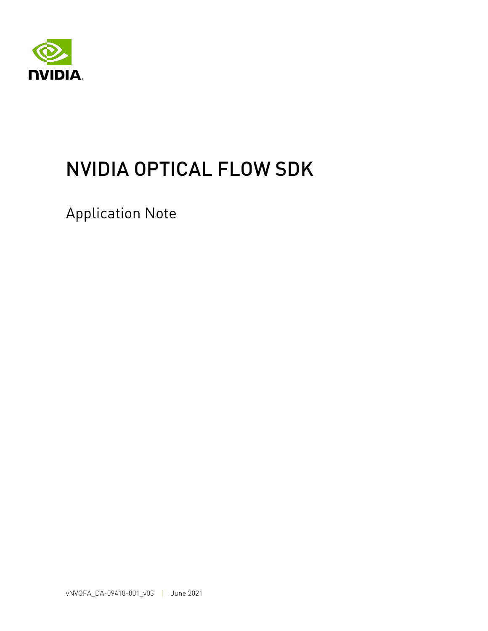

# NVIDIA OPTICAL FLOW SDK

Application Note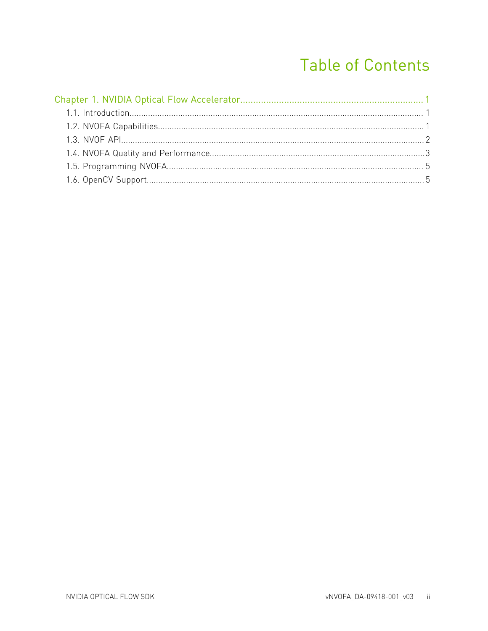### **Table of Contents**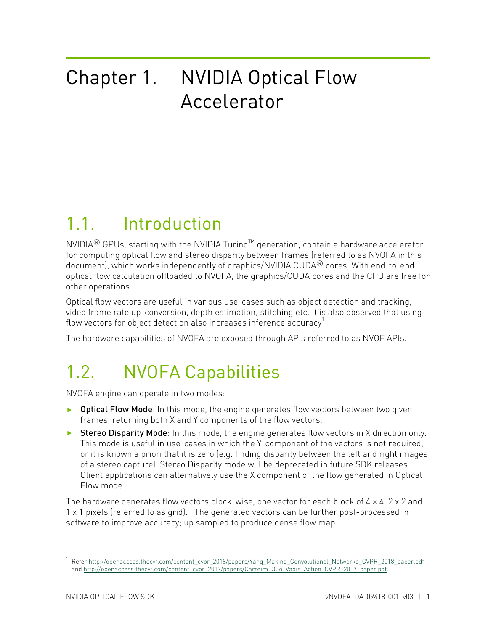# <span id="page-2-0"></span>Chapter 1. NVIDIA Optical Flow Accelerator

### <span id="page-2-1"></span>1.1. Introduction

NVIDIA® GPUs, starting with the NVIDIA Turing™ generation, contain a hardware accelerator for computing optical flow and stereo disparity between frames (referred to as NVOFA in this document), which works independently of graphics/NVIDIA CUDA® cores. With end-to-end optical flow calculation offloaded to NVOFA, the graphics/CUDA cores and the CPU are free for other operations.

Optical flow vectors are useful in various use-cases such as object detection and tracking, video frame rate up-conversion, depth estimation, stitching etc. It is also observed that using flow vectors for object detection also increases inference accuracy<sup>1</sup>.

The hardware capabilities of NVOFA are exposed through APIs referred to as NVOF APIs.

## <span id="page-2-2"></span>1.2. NVOFA Capabilities

NVOFA engine can operate in two modes:

- ▶ Optical Flow Mode: In this mode, the engine generates flow vectors between two given frames, returning both X and Y components of the flow vectors.
- ▶ Stereo Disparity Mode: In this mode, the engine generates flow vectors in X direction only. This mode is useful in use-cases in which the Y-component of the vectors is not required, or it is known a priori that it is zero (e.g. finding disparity between the left and right images of a stereo capture). Stereo Disparity mode will be deprecated in future SDK releases. Client applications can alternatively use the X component of the flow generated in Optical Flow mode.

The hardware generates flow vectors block-wise, one vector for each block of  $4 \times 4$ , 2 x 2 and 1 x 1 pixels (referred to as grid). The generated vectors can be further post-processed in software to improve accuracy; up sampled to produce dense flow map.

<sup>&</sup>lt;sup>1</sup> Refer [http://openaccess.thecvf.com/content\\_cvpr\\_2018/papers/Yang\\_Making\\_Convolutional\\_Networks\\_CVPR\\_2018\\_paper.pdf](http://openaccess.thecvf.com/content_cvpr_2018/papers/Yang_Making_Convolutional_Networks_CVPR_2018_paper.pdf) and [http://openaccess.thecvf.com/content\\_cvpr\\_2017/papers/Carreira\\_Quo\\_Vadis\\_Action\\_CVPR\\_2017\\_paper.pdf](http://openaccess.thecvf.com/content_cvpr_2017/papers/Carreira_Quo_Vadis_Action_CVPR_2017_paper.pdf).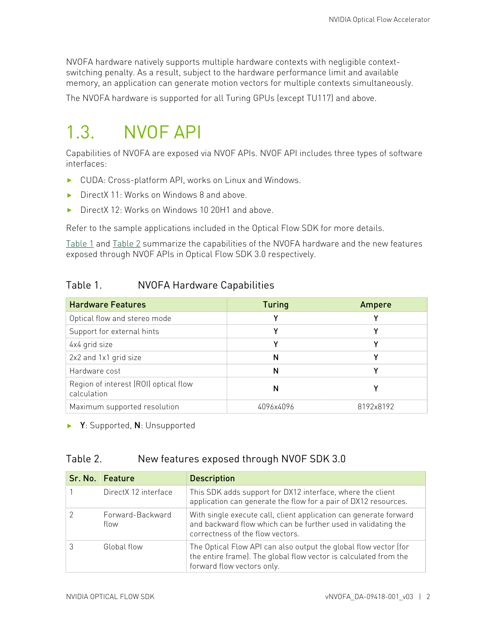NVOFA hardware natively supports multiple hardware contexts with negligible contextswitching penalty. As a result, subject to the hardware performance limit and available memory, an application can generate motion vectors for multiple contexts simultaneously.

The NVOFA hardware is supported for all Turing GPUs (except TU117) and above.

### <span id="page-3-0"></span>1.3. NVOF API

Capabilities of NVOFA are exposed via NVOF APIs. NVOF API includes three types of software interfaces:

- **‣** CUDA: Cross-platform API, works on Linux and Windows.
- **‣** DirectX 11: Works on Windows 8 and above.
- DirectX 12: Works on Windows 10 20H1 and above.

Refer to the sample applications included in the Optical Flow SDK for more details.

[Table 1](#page-3-1) and [Table 2](#page-3-2) summarize the capabilities of the NVOFA hardware and the new features exposed through NVOF APIs in Optical Flow SDK 3.0 respectively.

#### <span id="page-3-1"></span>Table 1. NVOFA Hardware Capabilities

| <b>Hardware Features</b>                             | <b>Turing</b> | Ampere    |  |  |
|------------------------------------------------------|---------------|-----------|--|--|
| Optical flow and stereo mode                         |               | v         |  |  |
| Support for external hints                           |               |           |  |  |
| 4x4 grid size                                        |               |           |  |  |
| 2x2 and 1x1 grid size                                | N             | v         |  |  |
| Hardware cost                                        | N             | v         |  |  |
| Region of interest (ROI) optical flow<br>calculation | N             |           |  |  |
| Maximum supported resolution                         | 4096x4096     | 8192x8192 |  |  |

<span id="page-3-2"></span>**‣** Y: Supported, N: Unsupported

#### Table 2. New features exposed through NVOF SDK 3.0

| Sr. No.   Feature        | <b>Description</b>                                                                                                                                                     |
|--------------------------|------------------------------------------------------------------------------------------------------------------------------------------------------------------------|
| DirectX 12 interface     | This SDK adds support for DX12 interface, where the client<br>application can generate the flow for a pair of DX12 resources.                                          |
| Forward-Backward<br>flow | With single execute call, client application can generate forward<br>and backward flow which can be further used in validating the<br>correctness of the flow vectors. |
| Global flow              | The Optical Flow API can also output the global flow vector (for<br>the entire frame). The global flow vector is calculated from the<br>forward flow vectors only.     |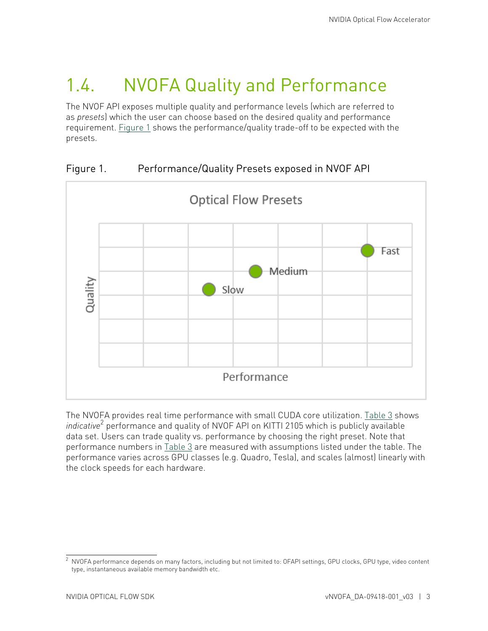## <span id="page-4-0"></span>1.4. NVOFA Quality and Performance

The NVOF API exposes multiple quality and performance levels (which are referred to as *presets*) which the user can choose based on the desired quality and performance requirement. [Figure 1](#page-4-1) shows the performance/quality trade-off to be expected with the presets.



#### <span id="page-4-1"></span>Figure 1. Performance/Quality Presets exposed in NVOF API

The NVOFA provides real time performance with small CUDA core utilization. [Table 3](#page-5-0) shows indicative<sup>2</sup> performance and quality of NVOF API on KITTI 2105 which is publicly available data set. Users can trade quality vs. performance by choosing the right preset. Note that performance numbers in  $Table 3$  are measured with assumptions listed under the table. The performance varies across GPU classes (e.g. Quadro, Tesla), and scales (almost) linearly with the clock speeds for each hardware.

<sup>&</sup>lt;sup>2</sup> NVOFA performance depends on many factors, including but not limited to: OFAPI settings, GPU clocks, GPU type, video content type, instantaneous available memory bandwidth etc.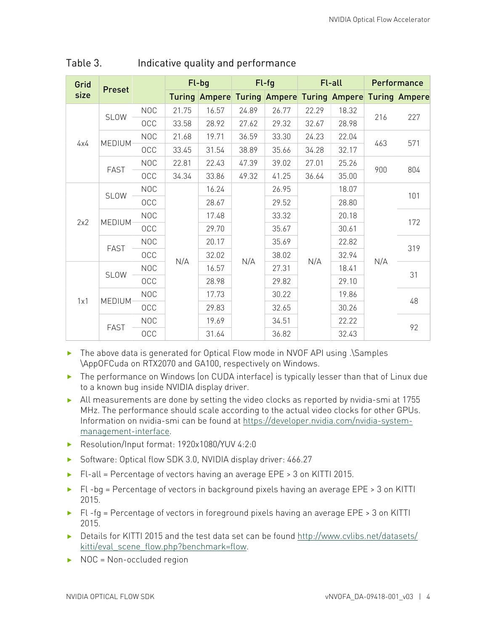| Grid | <b>Preset</b> |            | Fl-bg |                                                         | $Fl-fg$ |       | Fl-all |       | Performance |     |    |
|------|---------------|------------|-------|---------------------------------------------------------|---------|-------|--------|-------|-------------|-----|----|
| size |               |            |       | Turing Ampere Turing Ampere Turing Ampere Turing Ampere |         |       |        |       |             |     |    |
| 4x4  | <b>SLOW</b>   | <b>NOC</b> | 21.75 | 16.57                                                   | 24.89   | 26.77 | 22.29  | 18.32 | 216         | 227 |    |
|      |               | OCC        | 33.58 | 28.92                                                   | 27.62   | 29.32 | 32.67  | 28.98 |             |     |    |
|      | <b>MEDIUM</b> | <b>NOC</b> | 21.68 | 19.71                                                   | 36.59   | 33.30 | 24.23  | 22.04 | 463         | 571 |    |
|      |               | OCC        | 33.45 | 31.54                                                   | 38.89   | 35.66 | 34.28  | 32.17 |             |     |    |
|      |               | <b>NOC</b> | 22.81 | 22.43                                                   | 47.39   | 39.02 | 27.01  | 25.26 | 900         | 804 |    |
|      |               | FAST       | OCC   | 34.34                                                   | 33.86   | 49.32 | 41.25  | 36.64 | 35.00       |     |    |
|      | <b>SLOW</b>   | <b>NOC</b> |       | 16.24                                                   |         | 26.95 |        | 18.07 |             | 101 |    |
|      |               | OCC        |       | 28.67                                                   |         | 29.52 |        | 28.80 |             |     |    |
|      | <b>MEDIUM</b> | <b>NOC</b> |       | 17.48                                                   |         | 33.32 |        | 20.18 |             | 172 |    |
| 2x2  |               |            | OCC   |                                                         | 29.70   |       | 35.67  |       | 30.61       |     |    |
|      | FAST          | <b>NOC</b> |       | 20.17                                                   |         | 35.69 |        | 22.82 |             | 319 |    |
|      |               | OCC        | N/A   | 32.02                                                   | N/A     | 38.02 | N/A    | 32.94 | N/A         |     |    |
| 1x1  | <b>SLOW</b>   | <b>NOC</b> |       | 16.57                                                   |         | 27.31 |        | 18.41 |             | 31  |    |
|      |               | OCC        |       | 28.98                                                   |         | 29.82 |        | 29.10 |             |     |    |
|      | <b>MEDIUM</b> | <b>NOC</b> |       | 17.73                                                   |         | 30.22 |        | 19.86 |             | 48  |    |
|      |               |            | OCC   |                                                         | 29.83   |       | 32.65  |       | 30.26       |     |    |
|      | FAST          | <b>NOC</b> |       | 19.69                                                   |         | 34.51 |        |       | 22.22       |     | 92 |
|      |               | OCC        |       | 31.64                                                   |         | 36.82 |        | 32.43 |             |     |    |

<span id="page-5-0"></span>Table 3. Indicative quality and performance

- **‣** The above data is generated for Optical Flow mode in NVOF API using .\Samples \AppOFCuda on RTX2070 and GA100, respectively on Windows.
- ▶ The performance on Windows (on CUDA interface) is typically lesser than that of Linux due to a known bug inside NVIDIA display driver.
- **‣** All measurements are done by setting the video clocks as reported by nvidia-smi at 1755 MHz. The performance should scale according to the actual video clocks for other GPUs. Information on nvidia-smi can be found at [https://developer.nvidia.com/nvidia-system](https://developer.nvidia.com/nvidia-system-management-interface)[management-interface.](https://developer.nvidia.com/nvidia-system-management-interface)
- **‣** Resolution/Input format: 1920x1080/YUV 4:2:0
- **‣** Software: Optical flow SDK 3.0, NVIDIA display driver: 466.27
- **‣** Fl-all = Percentage of vectors having an average EPE > 3 on KITTI 2015.
- **‣** Fl -bg = Percentage of vectors in background pixels having an average EPE > 3 on KITTI 2015.
- **‣** Fl -fg = Percentage of vectors in foreground pixels having an average EPE > 3 on KITTI 2015.
- **‣** Details for KITTI 2015 and the test data set can be found [http://www.cvlibs.net/datasets/](http://www.cvlibs.net/datasets/kitti/eval_scene_flow.php?benchmark=flow) kitti/eval scene flow.php?benchmark=flow.
- **‣** NOC = Non-occluded region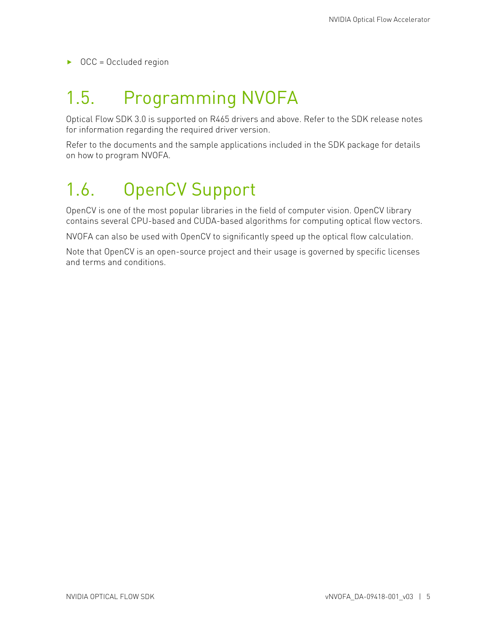**‣** OCC = Occluded region

## <span id="page-6-0"></span>1.5. Programming NVOFA

Optical Flow SDK 3.0 is supported on R465 drivers and above. Refer to the SDK release notes for information regarding the required driver version.

Refer to the documents and the sample applications included in the SDK package for details on how to program NVOFA.

# <span id="page-6-1"></span>1.6. OpenCV Support

OpenCV is one of the most popular libraries in the field of computer vision. OpenCV library contains several CPU-based and CUDA-based algorithms for computing optical flow vectors.

NVOFA can also be used with OpenCV to significantly speed up the optical flow calculation.

Note that OpenCV is an open-source project and their usage is governed by specific licenses and terms and conditions.